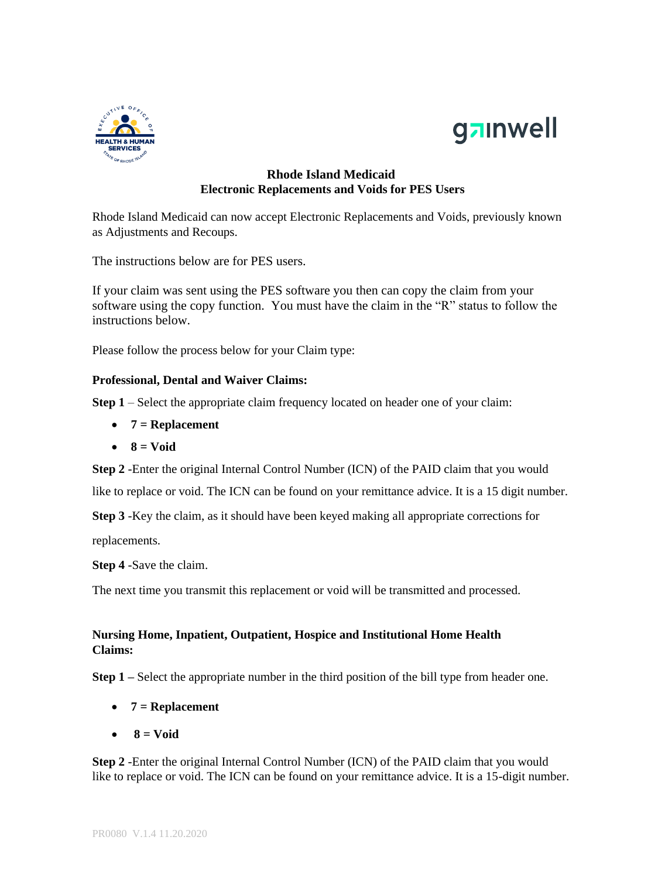



## **Rhode Island Medicaid Electronic Replacements and Voids for PES Users**

Rhode Island Medicaid can now accept Electronic Replacements and Voids, previously known as Adjustments and Recoups.

The instructions below are for PES users.

If your claim was sent using the PES software you then can copy the claim from your software using the copy function. You must have the claim in the "R" status to follow the instructions below.

Please follow the process below for your Claim type:

### **Professional, Dental and Waiver Claims:**

**Step 1** – Select the appropriate claim frequency located on header one of your claim:

- **7 = Replacement**
- $\bullet$  **8** = Void

**Step 2** -Enter the original Internal Control Number (ICN) of the PAID claim that you would

like to replace or void. The ICN can be found on your remittance advice. It is a 15 digit number.

**Step 3** -Key the claim, as it should have been keyed making all appropriate corrections for

replacements.

**Step 4** -Save the claim.

The next time you transmit this replacement or void will be transmitted and processed.

## **Nursing Home, Inpatient, Outpatient, Hospice and Institutional Home Health Claims:**

**Step 1** – Select the appropriate number in the third position of the bill type from header one.

- **7 = Replacement**
- **8 = Void**

**Step 2** -Enter the original Internal Control Number (ICN) of the PAID claim that you would like to replace or void. The ICN can be found on your remittance advice. It is a 15-digit number.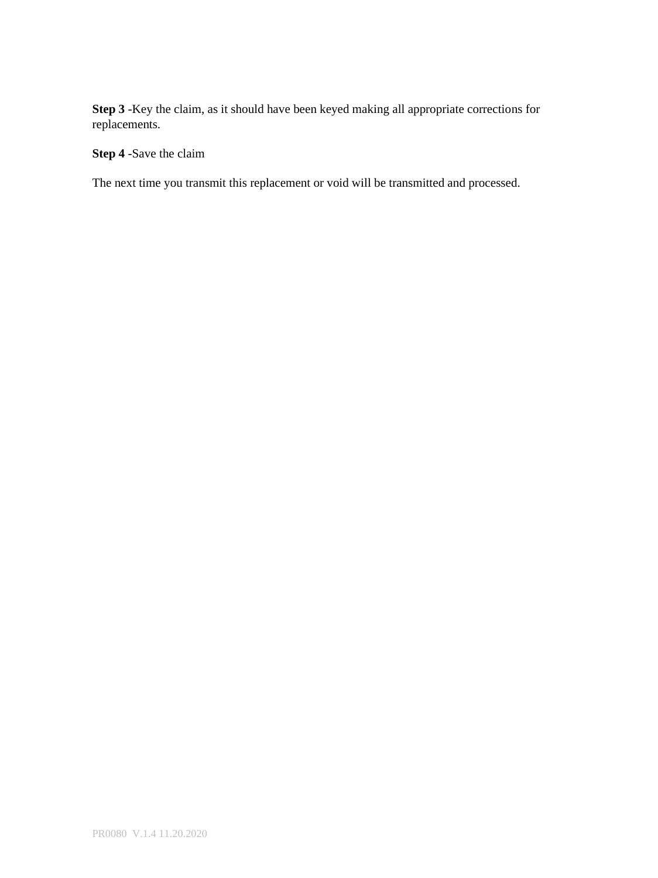**Step 3** -Key the claim, as it should have been keyed making all appropriate corrections for replacements.

# **Step 4** -Save the claim

The next time you transmit this replacement or void will be transmitted and processed.